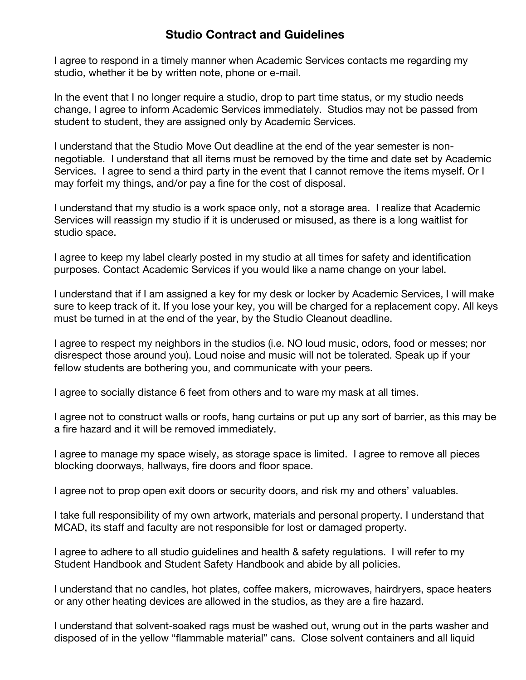## **Studio Contract and Guidelines**

I agree to respond in a timely manner when Academic Services contacts me regarding my studio, whether it be by written note, phone or e-mail.

In the event that I no longer require a studio, drop to part time status, or my studio needs change, I agree to inform Academic Services immediately. Studios may not be passed from student to student, they are assigned only by Academic Services.

I understand that the Studio Move Out deadline at the end of the year semester is nonnegotiable. I understand that all items must be removed by the time and date set by Academic Services. I agree to send a third party in the event that I cannot remove the items myself. Or I may forfeit my things, and/or pay a fine for the cost of disposal.

I understand that my studio is a work space only, not a storage area. I realize that Academic Services will reassign my studio if it is underused or misused, as there is a long waitlist for studio space.

I agree to keep my label clearly posted in my studio at all times for safety and identification purposes. Contact Academic Services if you would like a name change on your label.

I understand that if I am assigned a key for my desk or locker by Academic Services, I will make sure to keep track of it. If you lose your key, you will be charged for a replacement copy. All keys must be turned in at the end of the year, by the Studio Cleanout deadline.

I agree to respect my neighbors in the studios (i.e. NO loud music, odors, food or messes; nor disrespect those around you). Loud noise and music will not be tolerated. Speak up if your fellow students are bothering you, and communicate with your peers.

I agree to socially distance 6 feet from others and to ware my mask at all times.

I agree not to construct walls or roofs, hang curtains or put up any sort of barrier, as this may be a fire hazard and it will be removed immediately.

I agree to manage my space wisely, as storage space is limited. I agree to remove all pieces blocking doorways, hallways, fire doors and floor space.

I agree not to prop open exit doors or security doors, and risk my and others' valuables.

I take full responsibility of my own artwork, materials and personal property. I understand that MCAD, its staff and faculty are not responsible for lost or damaged property.

I agree to adhere to all studio guidelines and health & safety regulations. I will refer to my Student Handbook and Student Safety Handbook and abide by all policies.

I understand that no candles, hot plates, coffee makers, microwaves, hairdryers, space heaters or any other heating devices are allowed in the studios, as they are a fire hazard.

I understand that solvent-soaked rags must be washed out, wrung out in the parts washer and disposed of in the yellow "flammable material" cans. Close solvent containers and all liquid